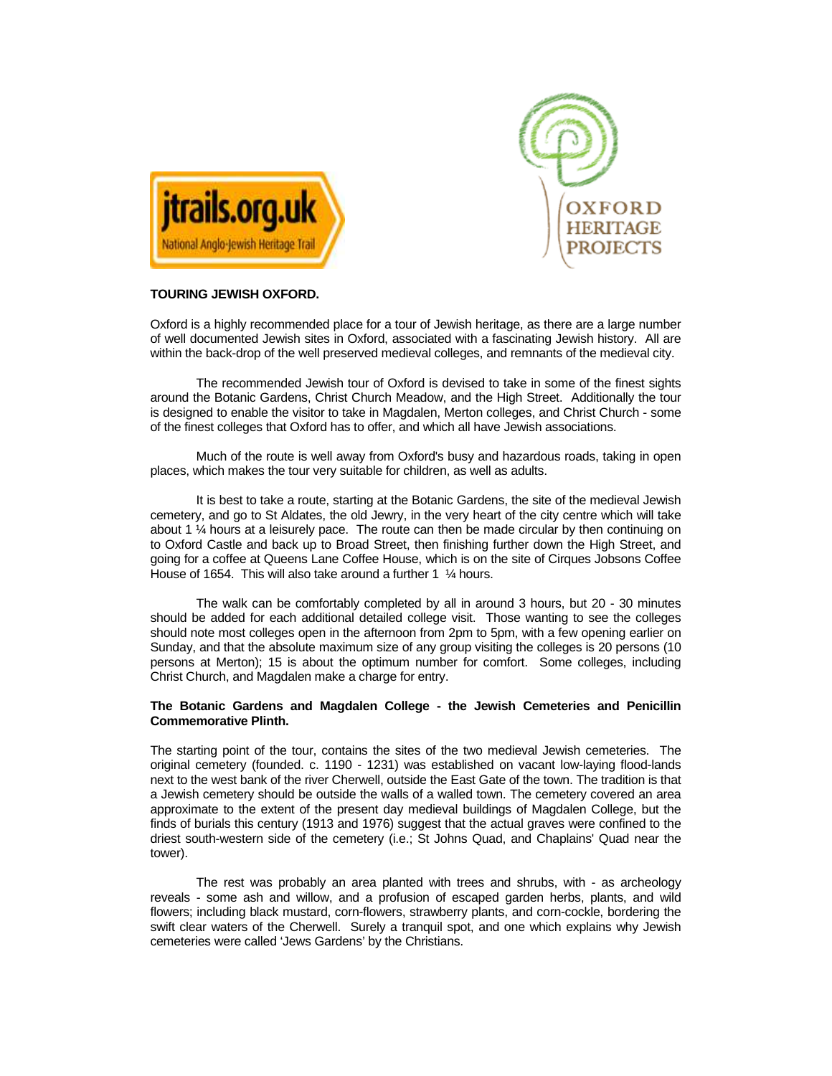



# **TOURING JEWISH OXFORD.**

Oxford is a highly recommended place for a tour of Jewish heritage, as there are a large number of well documented Jewish sites in Oxford, associated with a fascinating Jewish history. All are within the back-drop of the well preserved medieval colleges, and remnants of the medieval city.

 The recommended Jewish tour of Oxford is devised to take in some of the finest sights around the Botanic Gardens, Christ Church Meadow, and the High Street. Additionally the tour is designed to enable the visitor to take in Magdalen, Merton colleges, and Christ Church - some of the finest colleges that Oxford has to offer, and which all have Jewish associations.

 Much of the route is well away from Oxford's busy and hazardous roads, taking in open places, which makes the tour very suitable for children, as well as adults.

 It is best to take a route, starting at the Botanic Gardens, the site of the medieval Jewish cemetery, and go to St Aldates, the old Jewry, in the very heart of the city centre which will take about 1  $\%$  hours at a leisurely pace. The route can then be made circular by then continuing on to Oxford Castle and back up to Broad Street, then finishing further down the High Street, and going for a coffee at Queens Lane Coffee House, which is on the site of Cirques Jobsons Coffee House of 1654. This will also take around a further 1  $\frac{1}{4}$  hours.

 The walk can be comfortably completed by all in around 3 hours, but 20 - 30 minutes should be added for each additional detailed college visit. Those wanting to see the colleges should note most colleges open in the afternoon from 2pm to 5pm, with a few opening earlier on Sunday, and that the absolute maximum size of any group visiting the colleges is 20 persons (10 persons at Merton); 15 is about the optimum number for comfort. Some colleges, including Christ Church, and Magdalen make a charge for entry.

# **The Botanic Gardens and Magdalen College - the Jewish Cemeteries and Penicillin Commemorative Plinth.**

The starting point of the tour, contains the sites of the two medieval Jewish cemeteries. The original cemetery (founded. c. 1190 - 1231) was established on vacant low-laying flood-lands next to the west bank of the river Cherwell, outside the East Gate of the town. The tradition is that a Jewish cemetery should be outside the walls of a walled town. The cemetery covered an area approximate to the extent of the present day medieval buildings of Magdalen College, but the finds of burials this century (1913 and 1976) suggest that the actual graves were confined to the driest south-western side of the cemetery (i.e.; St Johns Quad, and Chaplains' Quad near the tower).

The rest was probably an area planted with trees and shrubs, with - as archeology reveals - some ash and willow, and a profusion of escaped garden herbs, plants, and wild flowers; including black mustard, corn-flowers, strawberry plants, and corn-cockle, bordering the swift clear waters of the Cherwell. Surely a tranquil spot, and one which explains why Jewish cemeteries were called 'Jews Gardens' by the Christians.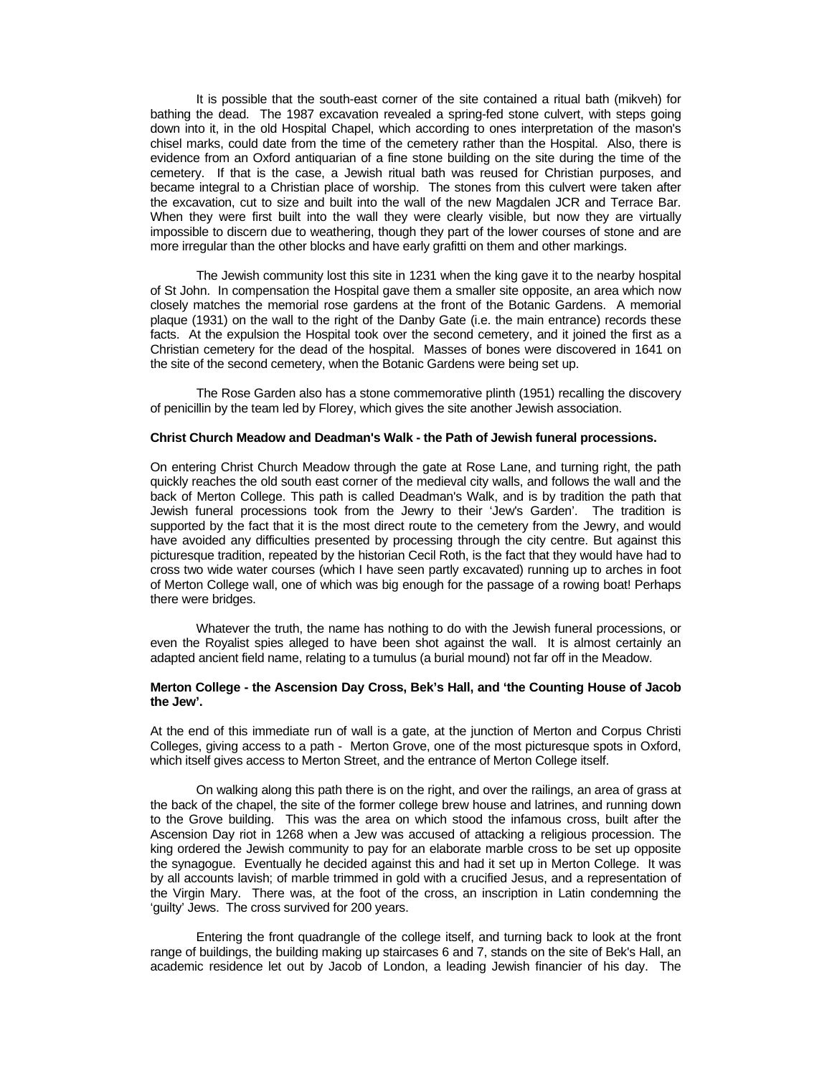It is possible that the south-east corner of the site contained a ritual bath (mikveh) for bathing the dead. The 1987 excavation revealed a spring-fed stone culvert, with steps going down into it, in the old Hospital Chapel, which according to ones interpretation of the mason's chisel marks, could date from the time of the cemetery rather than the Hospital. Also, there is evidence from an Oxford antiquarian of a fine stone building on the site during the time of the cemetery. If that is the case, a Jewish ritual bath was reused for Christian purposes, and became integral to a Christian place of worship. The stones from this culvert were taken after the excavation, cut to size and built into the wall of the new Magdalen JCR and Terrace Bar. When they were first built into the wall they were clearly visible, but now they are virtually impossible to discern due to weathering, though they part of the lower courses of stone and are more irregular than the other blocks and have early grafitti on them and other markings.

The Jewish community lost this site in 1231 when the king gave it to the nearby hospital of St John. In compensation the Hospital gave them a smaller site opposite, an area which now closely matches the memorial rose gardens at the front of the Botanic Gardens. A memorial plaque (1931) on the wall to the right of the Danby Gate (i.e. the main entrance) records these facts. At the expulsion the Hospital took over the second cemetery, and it joined the first as a Christian cemetery for the dead of the hospital. Masses of bones were discovered in 1641 on the site of the second cemetery, when the Botanic Gardens were being set up.

The Rose Garden also has a stone commemorative plinth (1951) recalling the discovery of penicillin by the team led by Florey, which gives the site another Jewish association.

### **Christ Church Meadow and Deadman's Walk - the Path of Jewish funeral processions.**

On entering Christ Church Meadow through the gate at Rose Lane, and turning right, the path quickly reaches the old south east corner of the medieval city walls, and follows the wall and the back of Merton College. This path is called Deadman's Walk, and is by tradition the path that Jewish funeral processions took from the Jewry to their 'Jew's Garden'. The tradition is supported by the fact that it is the most direct route to the cemetery from the Jewry, and would have avoided any difficulties presented by processing through the city centre. But against this picturesque tradition, repeated by the historian Cecil Roth, is the fact that they would have had to cross two wide water courses (which I have seen partly excavated) running up to arches in foot of Merton College wall, one of which was big enough for the passage of a rowing boat! Perhaps there were bridges.

Whatever the truth, the name has nothing to do with the Jewish funeral processions, or even the Royalist spies alleged to have been shot against the wall. It is almost certainly an adapted ancient field name, relating to a tumulus (a burial mound) not far off in the Meadow.

### **Merton College - the Ascension Day Cross, Bek's Hall, and 'the Counting House of Jacob the Jew'.**

At the end of this immediate run of wall is a gate, at the junction of Merton and Corpus Christi Colleges, giving access to a path - Merton Grove, one of the most picturesque spots in Oxford, which itself gives access to Merton Street, and the entrance of Merton College itself.

On walking along this path there is on the right, and over the railings, an area of grass at the back of the chapel, the site of the former college brew house and latrines, and running down to the Grove building. This was the area on which stood the infamous cross, built after the Ascension Day riot in 1268 when a Jew was accused of attacking a religious procession. The king ordered the Jewish community to pay for an elaborate marble cross to be set up opposite the synagogue. Eventually he decided against this and had it set up in Merton College. It was by all accounts lavish; of marble trimmed in gold with a crucified Jesus, and a representation of the Virgin Mary. There was, at the foot of the cross, an inscription in Latin condemning the 'guilty' Jews. The cross survived for 200 years.

Entering the front quadrangle of the college itself, and turning back to look at the front range of buildings, the building making up staircases 6 and 7, stands on the site of Bek's Hall, an academic residence let out by Jacob of London, a leading Jewish financier of his day. The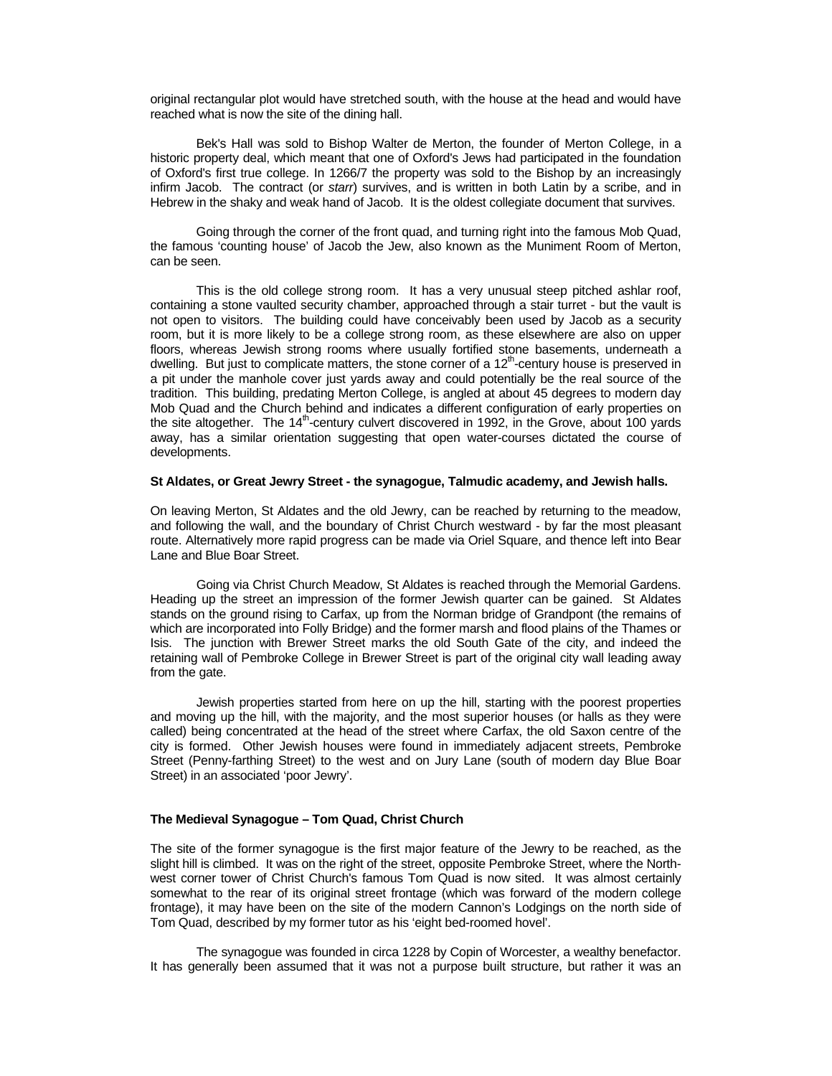original rectangular plot would have stretched south, with the house at the head and would have reached what is now the site of the dining hall.

Bek's Hall was sold to Bishop Walter de Merton, the founder of Merton College, in a historic property deal, which meant that one of Oxford's Jews had participated in the foundation of Oxford's first true college. In 1266/7 the property was sold to the Bishop by an increasingly infirm Jacob. The contract (or starr) survives, and is written in both Latin by a scribe, and in Hebrew in the shaky and weak hand of Jacob. It is the oldest collegiate document that survives.

Going through the corner of the front quad, and turning right into the famous Mob Quad, the famous 'counting house' of Jacob the Jew, also known as the Muniment Room of Merton, can be seen.

This is the old college strong room. It has a very unusual steep pitched ashlar roof, containing a stone vaulted security chamber, approached through a stair turret - but the vault is not open to visitors. The building could have conceivably been used by Jacob as a security room, but it is more likely to be a college strong room, as these elsewhere are also on upper floors, whereas Jewish strong rooms where usually fortified stone basements, underneath a dwelling. But just to complicate matters, the stone corner of a  $12<sup>th</sup>$ -century house is preserved in a pit under the manhole cover just yards away and could potentially be the real source of the tradition. This building, predating Merton College, is angled at about 45 degrees to modern day Mob Quad and the Church behind and indicates a different configuration of early properties on the site altogether. The  $14<sup>th</sup>$ -century culvert discovered in 1992, in the Grove, about 100 yards away, has a similar orientation suggesting that open water-courses dictated the course of developments.

### **St Aldates, or Great Jewry Street - the synagogue, Talmudic academy, and Jewish halls.**

On leaving Merton, St Aldates and the old Jewry, can be reached by returning to the meadow, and following the wall, and the boundary of Christ Church westward - by far the most pleasant route. Alternatively more rapid progress can be made via Oriel Square, and thence left into Bear Lane and Blue Boar Street.

Going via Christ Church Meadow, St Aldates is reached through the Memorial Gardens. Heading up the street an impression of the former Jewish quarter can be gained. St Aldates stands on the ground rising to Carfax, up from the Norman bridge of Grandpont (the remains of which are incorporated into Folly Bridge) and the former marsh and flood plains of the Thames or Isis. The junction with Brewer Street marks the old South Gate of the city, and indeed the retaining wall of Pembroke College in Brewer Street is part of the original city wall leading away from the gate.

Jewish properties started from here on up the hill, starting with the poorest properties and moving up the hill, with the majority, and the most superior houses (or halls as they were called) being concentrated at the head of the street where Carfax, the old Saxon centre of the city is formed. Other Jewish houses were found in immediately adjacent streets, Pembroke Street (Penny-farthing Street) to the west and on Jury Lane (south of modern day Blue Boar Street) in an associated 'poor Jewry'.

### **The Medieval Synagogue – Tom Quad, Christ Church**

The site of the former synagogue is the first major feature of the Jewry to be reached, as the slight hill is climbed. It was on the right of the street, opposite Pembroke Street, where the Northwest corner tower of Christ Church's famous Tom Quad is now sited. It was almost certainly somewhat to the rear of its original street frontage (which was forward of the modern college frontage), it may have been on the site of the modern Cannon's Lodgings on the north side of Tom Quad, described by my former tutor as his 'eight bed-roomed hovel'.

The synagogue was founded in circa 1228 by Copin of Worcester, a wealthy benefactor. It has generally been assumed that it was not a purpose built structure, but rather it was an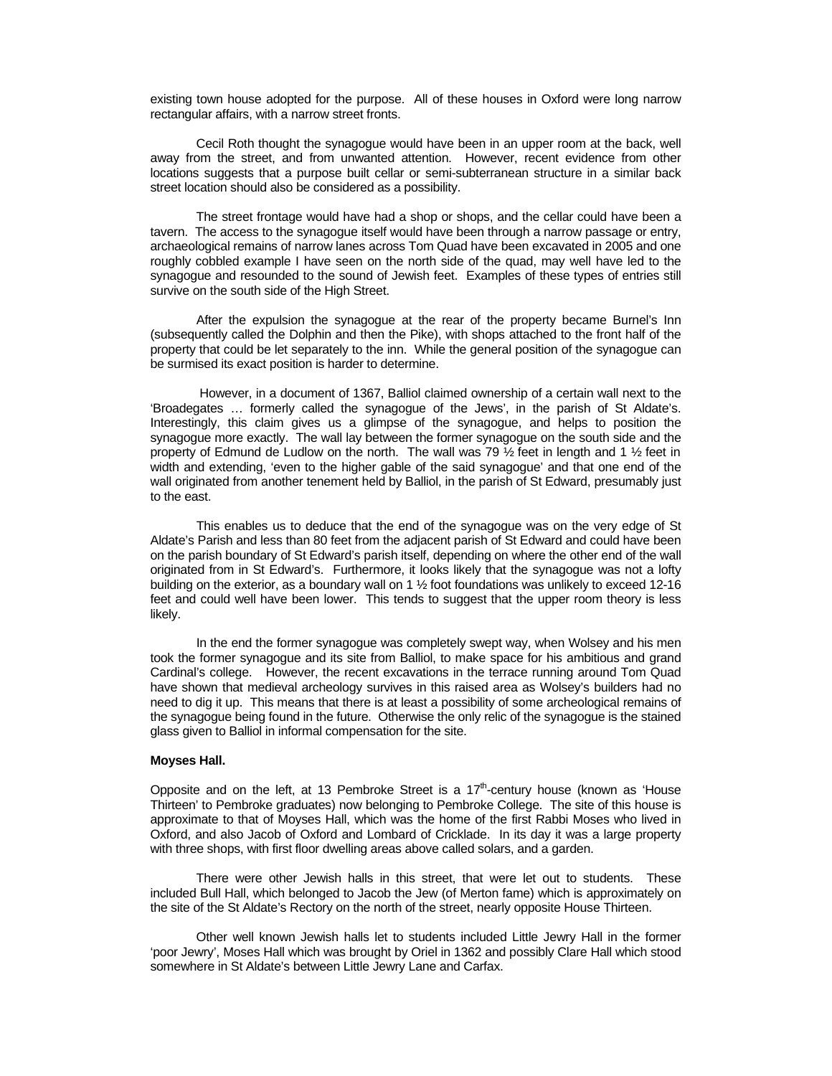existing town house adopted for the purpose. All of these houses in Oxford were long narrow rectangular affairs, with a narrow street fronts.

 Cecil Roth thought the synagogue would have been in an upper room at the back, well away from the street, and from unwanted attention. However, recent evidence from other locations suggests that a purpose built cellar or semi-subterranean structure in a similar back street location should also be considered as a possibility.

The street frontage would have had a shop or shops, and the cellar could have been a tavern. The access to the synagogue itself would have been through a narrow passage or entry, archaeological remains of narrow lanes across Tom Quad have been excavated in 2005 and one roughly cobbled example I have seen on the north side of the quad, may well have led to the synagogue and resounded to the sound of Jewish feet. Examples of these types of entries still survive on the south side of the High Street.

After the expulsion the synagogue at the rear of the property became Burnel's Inn (subsequently called the Dolphin and then the Pike), with shops attached to the front half of the property that could be let separately to the inn. While the general position of the synagogue can be surmised its exact position is harder to determine.

 However, in a document of 1367, Balliol claimed ownership of a certain wall next to the 'Broadegates … formerly called the synagogue of the Jews', in the parish of St Aldate's. Interestingly, this claim gives us a glimpse of the synagogue, and helps to position the synagogue more exactly. The wall lay between the former synagogue on the south side and the property of Edmund de Ludlow on the north. The wall was 79  $\frac{1}{2}$  feet in length and 1  $\frac{1}{2}$  feet in width and extending, 'even to the higher gable of the said synagogue' and that one end of the wall originated from another tenement held by Balliol, in the parish of St Edward, presumably just to the east.

This enables us to deduce that the end of the synagogue was on the very edge of St Aldate's Parish and less than 80 feet from the adjacent parish of St Edward and could have been on the parish boundary of St Edward's parish itself, depending on where the other end of the wall originated from in St Edward's. Furthermore, it looks likely that the synagogue was not a lofty building on the exterior, as a boundary wall on 1 ½ foot foundations was unlikely to exceed 12-16 feet and could well have been lower. This tends to suggest that the upper room theory is less likely.

 In the end the former synagogue was completely swept way, when Wolsey and his men took the former synagogue and its site from Balliol, to make space for his ambitious and grand Cardinal's college. However, the recent excavations in the terrace running around Tom Quad have shown that medieval archeology survives in this raised area as Wolsey's builders had no need to dig it up. This means that there is at least a possibility of some archeological remains of the synagogue being found in the future. Otherwise the only relic of the synagogue is the stained glass given to Balliol in informal compensation for the site.

# **Moyses Hall.**

Opposite and on the left, at 13 Pembroke Street is a  $17<sup>th</sup>$ -century house (known as 'House Thirteen' to Pembroke graduates) now belonging to Pembroke College. The site of this house is approximate to that of Moyses Hall, which was the home of the first Rabbi Moses who lived in Oxford, and also Jacob of Oxford and Lombard of Cricklade. In its day it was a large property with three shops, with first floor dwelling areas above called solars, and a garden.

 There were other Jewish halls in this street, that were let out to students. These included Bull Hall, which belonged to Jacob the Jew (of Merton fame) which is approximately on the site of the St Aldate's Rectory on the north of the street, nearly opposite House Thirteen.

Other well known Jewish halls let to students included Little Jewry Hall in the former 'poor Jewry', Moses Hall which was brought by Oriel in 1362 and possibly Clare Hall which stood somewhere in St Aldate's between Little Jewry Lane and Carfax.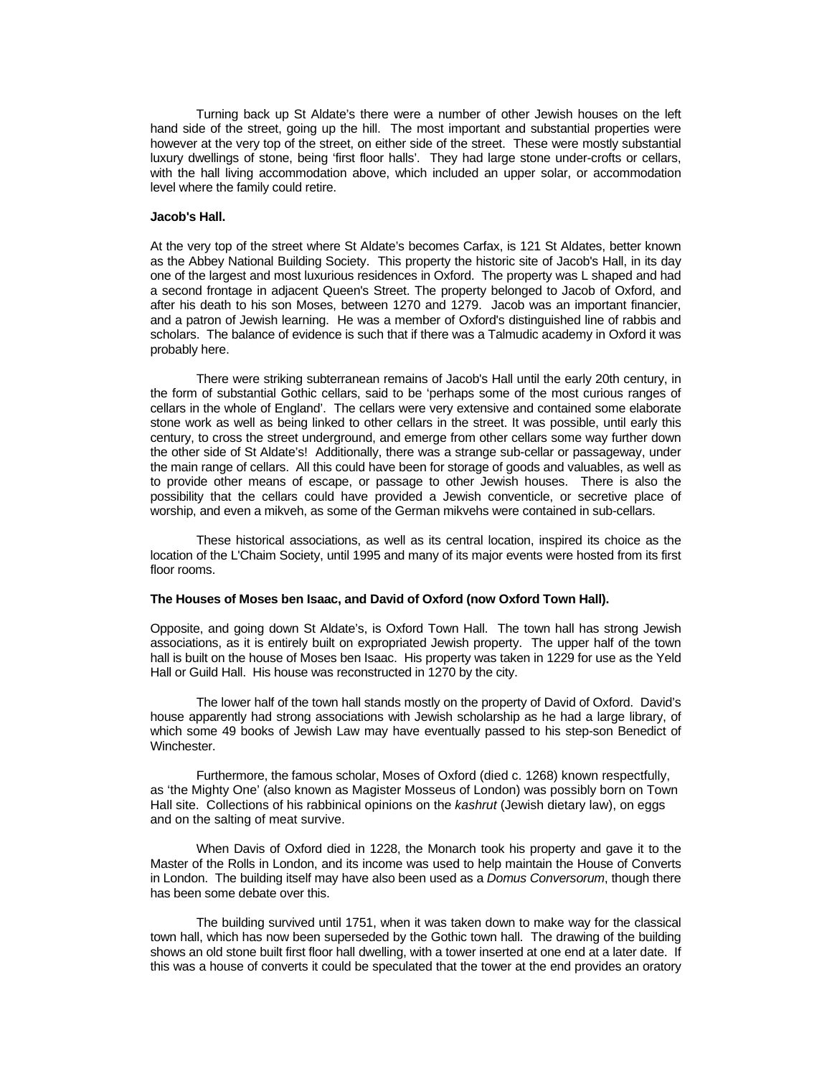Turning back up St Aldate's there were a number of other Jewish houses on the left hand side of the street, going up the hill. The most important and substantial properties were however at the very top of the street, on either side of the street. These were mostly substantial luxury dwellings of stone, being 'first floor halls'. They had large stone under-crofts or cellars, with the hall living accommodation above, which included an upper solar, or accommodation level where the family could retire.

# **Jacob's Hall.**

At the very top of the street where St Aldate's becomes Carfax, is 121 St Aldates, better known as the Abbey National Building Society. This property the historic site of Jacob's Hall, in its day one of the largest and most luxurious residences in Oxford. The property was L shaped and had a second frontage in adjacent Queen's Street. The property belonged to Jacob of Oxford, and after his death to his son Moses, between 1270 and 1279. Jacob was an important financier, and a patron of Jewish learning. He was a member of Oxford's distinguished line of rabbis and scholars. The balance of evidence is such that if there was a Talmudic academy in Oxford it was probably here.

There were striking subterranean remains of Jacob's Hall until the early 20th century, in the form of substantial Gothic cellars, said to be 'perhaps some of the most curious ranges of cellars in the whole of England'. The cellars were very extensive and contained some elaborate stone work as well as being linked to other cellars in the street. It was possible, until early this century, to cross the street underground, and emerge from other cellars some way further down the other side of St Aldate's! Additionally, there was a strange sub-cellar or passageway, under the main range of cellars. All this could have been for storage of goods and valuables, as well as to provide other means of escape, or passage to other Jewish houses. There is also the possibility that the cellars could have provided a Jewish conventicle, or secretive place of worship, and even a mikveh, as some of the German mikvehs were contained in sub-cellars.

These historical associations, as well as its central location, inspired its choice as the location of the L'Chaim Society, until 1995 and many of its major events were hosted from its first floor rooms.

### **The Houses of Moses ben Isaac, and David of Oxford (now Oxford Town Hall).**

Opposite, and going down St Aldate's, is Oxford Town Hall. The town hall has strong Jewish associations, as it is entirely built on expropriated Jewish property. The upper half of the town hall is built on the house of Moses ben Isaac. His property was taken in 1229 for use as the Yeld Hall or Guild Hall. His house was reconstructed in 1270 by the city.

The lower half of the town hall stands mostly on the property of David of Oxford. David's house apparently had strong associations with Jewish scholarship as he had a large library, of which some 49 books of Jewish Law may have eventually passed to his step-son Benedict of Winchester.

 Furthermore, the famous scholar, Moses of Oxford (died c. 1268) known respectfully, as 'the Mighty One' (also known as Magister Mosseus of London) was possibly born on Town Hall site. Collections of his rabbinical opinions on the kashrut (Jewish dietary law), on eggs and on the salting of meat survive.

When Davis of Oxford died in 1228, the Monarch took his property and gave it to the Master of the Rolls in London, and its income was used to help maintain the House of Converts in London. The building itself may have also been used as a Domus Conversorum, though there has been some debate over this.

The building survived until 1751, when it was taken down to make way for the classical town hall, which has now been superseded by the Gothic town hall. The drawing of the building shows an old stone built first floor hall dwelling, with a tower inserted at one end at a later date. If this was a house of converts it could be speculated that the tower at the end provides an oratory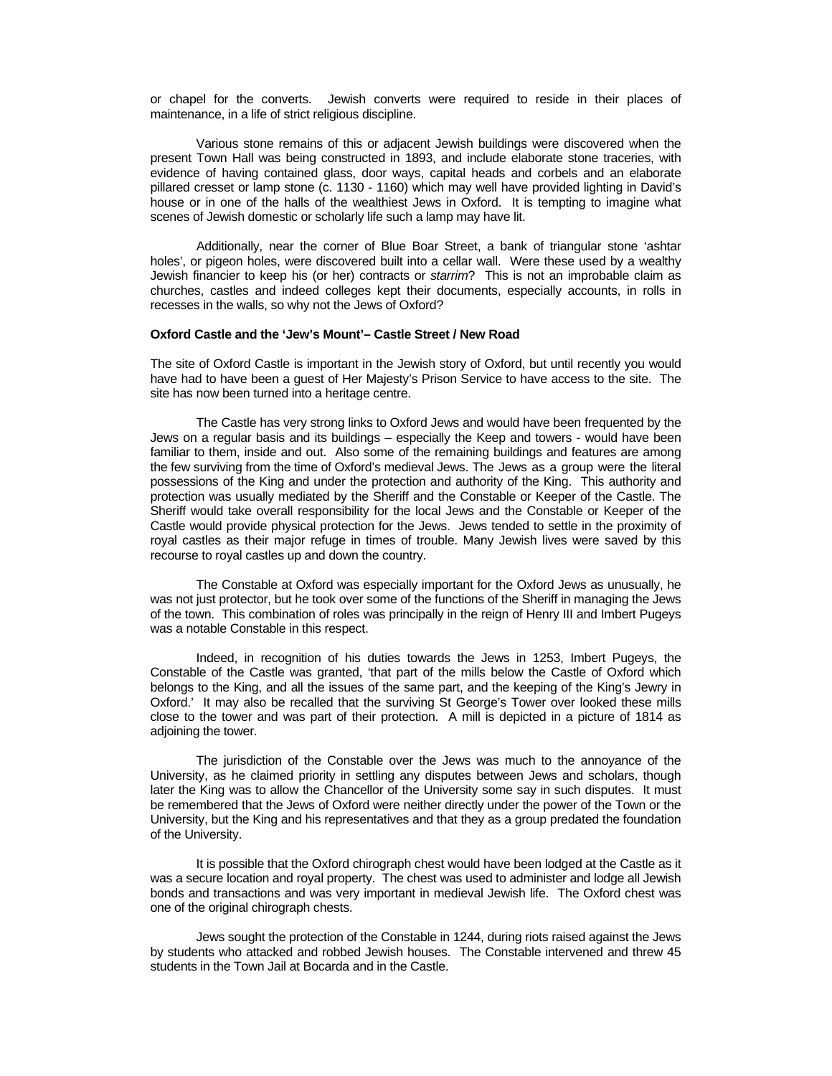or chapel for the converts. Jewish converts were required to reside in their places of maintenance, in a life of strict religious discipline.

Various stone remains of this or adjacent Jewish buildings were discovered when the present Town Hall was being constructed in 1893, and include elaborate stone traceries, with evidence of having contained glass, door ways, capital heads and corbels and an elaborate pillared cresset or lamp stone (c. 1130 - 1160) which may well have provided lighting in David's house or in one of the halls of the wealthiest Jews in Oxford. It is tempting to imagine what scenes of Jewish domestic or scholarly life such a lamp may have lit.

Additionally, near the corner of Blue Boar Street, a bank of triangular stone 'ashtar holes', or pigeon holes, were discovered built into a cellar wall. Were these used by a wealthy Jewish financier to keep his (or her) contracts or starrim? This is not an improbable claim as churches, castles and indeed colleges kept their documents, especially accounts, in rolls in recesses in the walls, so why not the Jews of Oxford?

# **Oxford Castle and the 'Jew's Mount'– Castle Street / New Road**

The site of Oxford Castle is important in the Jewish story of Oxford, but until recently you would have had to have been a guest of Her Majesty's Prison Service to have access to the site. The site has now been turned into a heritage centre.

 The Castle has very strong links to Oxford Jews and would have been frequented by the Jews on a regular basis and its buildings – especially the Keep and towers - would have been familiar to them, inside and out. Also some of the remaining buildings and features are among the few surviving from the time of Oxford's medieval Jews. The Jews as a group were the literal possessions of the King and under the protection and authority of the King. This authority and protection was usually mediated by the Sheriff and the Constable or Keeper of the Castle. The Sheriff would take overall responsibility for the local Jews and the Constable or Keeper of the Castle would provide physical protection for the Jews. Jews tended to settle in the proximity of royal castles as their major refuge in times of trouble. Many Jewish lives were saved by this recourse to royal castles up and down the country.

 The Constable at Oxford was especially important for the Oxford Jews as unusually, he was not just protector, but he took over some of the functions of the Sheriff in managing the Jews of the town. This combination of roles was principally in the reign of Henry III and Imbert Pugeys was a notable Constable in this respect.

Indeed, in recognition of his duties towards the Jews in 1253, Imbert Pugeys, the Constable of the Castle was granted, 'that part of the mills below the Castle of Oxford which belongs to the King, and all the issues of the same part, and the keeping of the King's Jewry in Oxford.' It may also be recalled that the surviving St George's Tower over looked these mills close to the tower and was part of their protection. A mill is depicted in a picture of 1814 as adjoining the tower.

 The jurisdiction of the Constable over the Jews was much to the annoyance of the University, as he claimed priority in settling any disputes between Jews and scholars, though later the King was to allow the Chancellor of the University some say in such disputes. It must be remembered that the Jews of Oxford were neither directly under the power of the Town or the University, but the King and his representatives and that they as a group predated the foundation of the University.

 It is possible that the Oxford chirograph chest would have been lodged at the Castle as it was a secure location and royal property. The chest was used to administer and lodge all Jewish bonds and transactions and was very important in medieval Jewish life. The Oxford chest was one of the original chirograph chests.

 Jews sought the protection of the Constable in 1244, during riots raised against the Jews by students who attacked and robbed Jewish houses. The Constable intervened and threw 45 students in the Town Jail at Bocarda and in the Castle.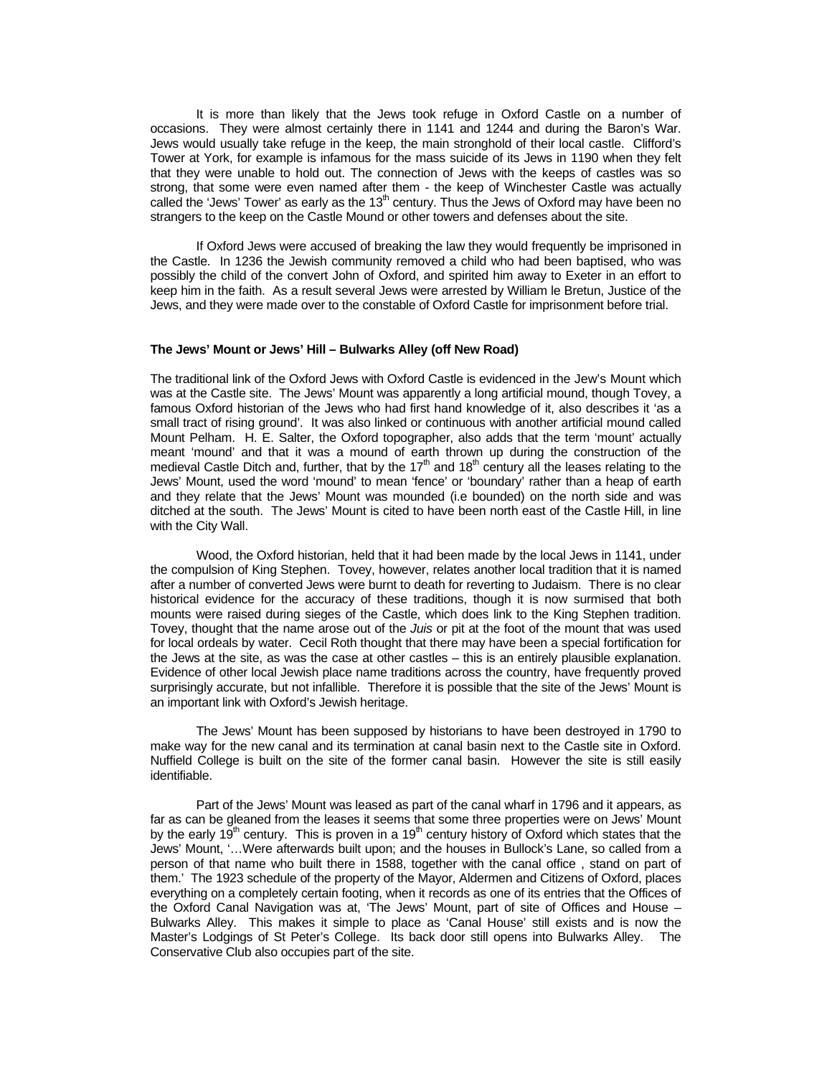It is more than likely that the Jews took refuge in Oxford Castle on a number of occasions. They were almost certainly there in 1141 and 1244 and during the Baron's War. Jews would usually take refuge in the keep, the main stronghold of their local castle. Clifford's Tower at York, for example is infamous for the mass suicide of its Jews in 1190 when they felt that they were unable to hold out. The connection of Jews with the keeps of castles was so strong, that some were even named after them - the keep of Winchester Castle was actually called the 'Jews' Tower' as early as the  $13<sup>th</sup>$  century. Thus the Jews of Oxford may have been no strangers to the keep on the Castle Mound or other towers and defenses about the site.

 If Oxford Jews were accused of breaking the law they would frequently be imprisoned in the Castle. In 1236 the Jewish community removed a child who had been baptised, who was possibly the child of the convert John of Oxford, and spirited him away to Exeter in an effort to keep him in the faith. As a result several Jews were arrested by William le Bretun, Justice of the Jews, and they were made over to the constable of Oxford Castle for imprisonment before trial.

#### **The Jews' Mount or Jews' Hill – Bulwarks Alley (off New Road)**

The traditional link of the Oxford Jews with Oxford Castle is evidenced in the Jew's Mount which was at the Castle site. The Jews' Mount was apparently a long artificial mound, though Tovey, a famous Oxford historian of the Jews who had first hand knowledge of it, also describes it 'as a small tract of rising ground'. It was also linked or continuous with another artificial mound called Mount Pelham. H. E. Salter, the Oxford topographer, also adds that the term 'mount' actually meant 'mound' and that it was a mound of earth thrown up during the construction of the medieval Castle Ditch and, further, that by the 17<sup>th</sup> and 18<sup>th</sup> century all the leases relating to the Jews' Mount, used the word 'mound' to mean 'fence' or 'boundary' rather than a heap of earth and they relate that the Jews' Mount was mounded (i.e bounded) on the north side and was ditched at the south. The Jews' Mount is cited to have been north east of the Castle Hill, in line with the City Wall.

 Wood, the Oxford historian, held that it had been made by the local Jews in 1141, under the compulsion of King Stephen. Tovey, however, relates another local tradition that it is named after a number of converted Jews were burnt to death for reverting to Judaism. There is no clear historical evidence for the accuracy of these traditions, though it is now surmised that both mounts were raised during sieges of the Castle, which does link to the King Stephen tradition. Tovey, thought that the name arose out of the Juis or pit at the foot of the mount that was used for local ordeals by water. Cecil Roth thought that there may have been a special fortification for the Jews at the site, as was the case at other castles – this is an entirely plausible explanation. Evidence of other local Jewish place name traditions across the country, have frequently proved surprisingly accurate, but not infallible. Therefore it is possible that the site of the Jews' Mount is an important link with Oxford's Jewish heritage.

The Jews' Mount has been supposed by historians to have been destroyed in 1790 to make way for the new canal and its termination at canal basin next to the Castle site in Oxford. Nuffield College is built on the site of the former canal basin. However the site is still easily identifiable.

Part of the Jews' Mount was leased as part of the canal wharf in 1796 and it appears, as far as can be gleaned from the leases it seems that some three properties were on Jews' Mount by the early  $19<sup>th</sup>$  century. This is proven in a  $19<sup>th</sup>$  century history of Oxford which states that the Jews' Mount, '…Were afterwards built upon; and the houses in Bullock's Lane, so called from a person of that name who built there in 1588, together with the canal office , stand on part of them.' The 1923 schedule of the property of the Mayor, Aldermen and Citizens of Oxford, places everything on a completely certain footing, when it records as one of its entries that the Offices of the Oxford Canal Navigation was at, 'The Jews' Mount, part of site of Offices and House – Bulwarks Alley. This makes it simple to place as 'Canal House' still exists and is now the Master's Lodgings of St Peter's College. Its back door still opens into Bulwarks Alley. The Conservative Club also occupies part of the site.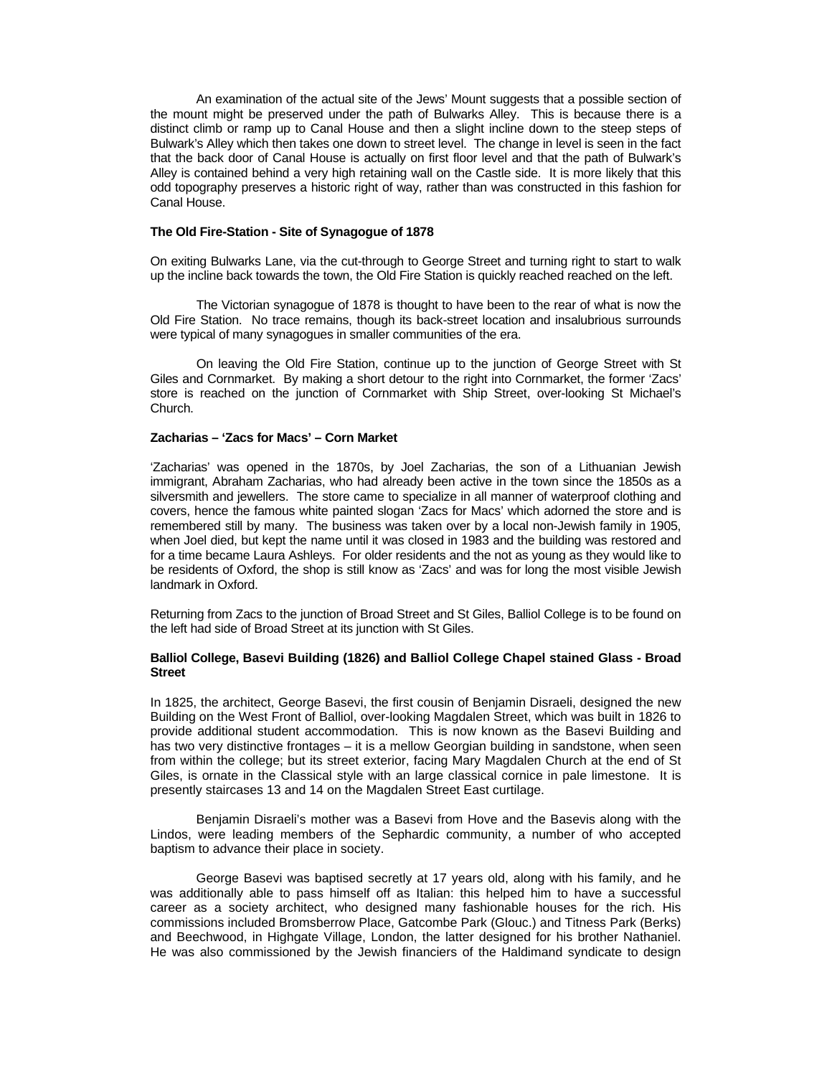An examination of the actual site of the Jews' Mount suggests that a possible section of the mount might be preserved under the path of Bulwarks Alley. This is because there is a distinct climb or ramp up to Canal House and then a slight incline down to the steep steps of Bulwark's Alley which then takes one down to street level. The change in level is seen in the fact that the back door of Canal House is actually on first floor level and that the path of Bulwark's Alley is contained behind a very high retaining wall on the Castle side. It is more likely that this odd topography preserves a historic right of way, rather than was constructed in this fashion for Canal House.

### **The Old Fire-Station - Site of Synagogue of 1878**

On exiting Bulwarks Lane, via the cut-through to George Street and turning right to start to walk up the incline back towards the town, the Old Fire Station is quickly reached reached on the left.

The Victorian synagogue of 1878 is thought to have been to the rear of what is now the Old Fire Station. No trace remains, though its back-street location and insalubrious surrounds were typical of many synagogues in smaller communities of the era.

On leaving the Old Fire Station, continue up to the junction of George Street with St Giles and Cornmarket. By making a short detour to the right into Cornmarket, the former 'Zacs' store is reached on the junction of Cornmarket with Ship Street, over-looking St Michael's Church.

#### **Zacharias – 'Zacs for Macs' – Corn Market**

'Zacharias' was opened in the 1870s, by Joel Zacharias, the son of a Lithuanian Jewish immigrant, Abraham Zacharias, who had already been active in the town since the 1850s as a silversmith and jewellers. The store came to specialize in all manner of waterproof clothing and covers, hence the famous white painted slogan 'Zacs for Macs' which adorned the store and is remembered still by many. The business was taken over by a local non-Jewish family in 1905, when Joel died, but kept the name until it was closed in 1983 and the building was restored and for a time became Laura Ashleys. For older residents and the not as young as they would like to be residents of Oxford, the shop is still know as 'Zacs' and was for long the most visible Jewish landmark in Oxford.

Returning from Zacs to the junction of Broad Street and St Giles, Balliol College is to be found on the left had side of Broad Street at its junction with St Giles.

### **Balliol College, Basevi Building (1826) and Balliol College Chapel stained Glass - Broad Street**

In 1825, the architect, George Basevi, the first cousin of Benjamin Disraeli, designed the new Building on the West Front of Balliol, over-looking Magdalen Street, which was built in 1826 to provide additional student accommodation. This is now known as the Basevi Building and has two very distinctive frontages – it is a mellow Georgian building in sandstone, when seen from within the college; but its street exterior, facing Mary Magdalen Church at the end of St Giles, is ornate in the Classical style with an large classical cornice in pale limestone. It is presently staircases 13 and 14 on the Magdalen Street East curtilage.

Benjamin Disraeli's mother was a Basevi from Hove and the Basevis along with the Lindos, were leading members of the Sephardic community, a number of who accepted baptism to advance their place in society.

George Basevi was baptised secretly at 17 years old, along with his family, and he was additionally able to pass himself off as Italian: this helped him to have a successful career as a society architect, who designed many fashionable houses for the rich. His commissions included Bromsberrow Place, Gatcombe Park (Glouc.) and Titness Park (Berks) and Beechwood, in Highgate Village, London, the latter designed for his brother Nathaniel. He was also commissioned by the Jewish financiers of the Haldimand syndicate to design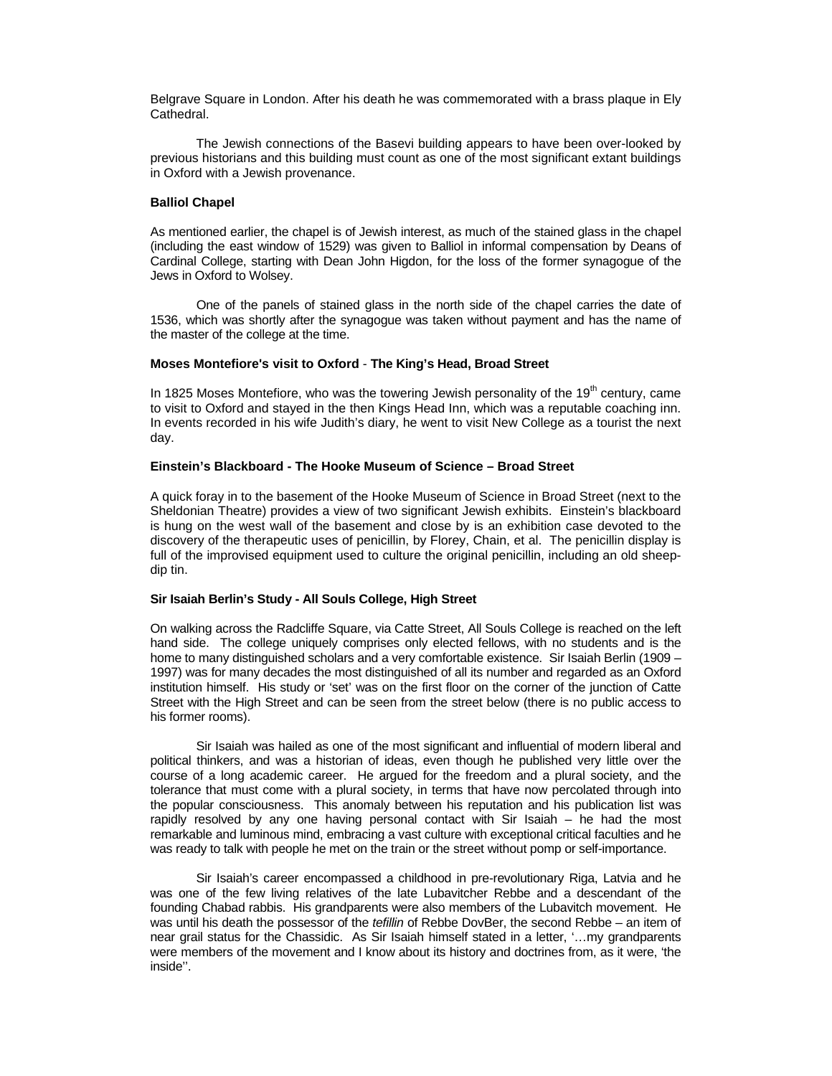Belgrave Square in London. After his death he was commemorated with a brass plaque in Ely Cathedral.

The Jewish connections of the Basevi building appears to have been over-looked by previous historians and this building must count as one of the most significant extant buildings in Oxford with a Jewish provenance.

### **Balliol Chapel**

As mentioned earlier, the chapel is of Jewish interest, as much of the stained glass in the chapel (including the east window of 1529) was given to Balliol in informal compensation by Deans of Cardinal College, starting with Dean John Higdon, for the loss of the former synagogue of the Jews in Oxford to Wolsey.

One of the panels of stained glass in the north side of the chapel carries the date of 1536, which was shortly after the synagogue was taken without payment and has the name of the master of the college at the time.

### **Moses Montefiore's visit to Oxford** - **The King's Head, Broad Street**

In 1825 Moses Montefiore, who was the towering Jewish personality of the 19<sup>th</sup> century, came to visit to Oxford and stayed in the then Kings Head Inn, which was a reputable coaching inn. In events recorded in his wife Judith's diary, he went to visit New College as a tourist the next day.

### **Einstein's Blackboard - The Hooke Museum of Science – Broad Street**

A quick foray in to the basement of the Hooke Museum of Science in Broad Street (next to the Sheldonian Theatre) provides a view of two significant Jewish exhibits. Einstein's blackboard is hung on the west wall of the basement and close by is an exhibition case devoted to the discovery of the therapeutic uses of penicillin, by Florey, Chain, et al. The penicillin display is full of the improvised equipment used to culture the original penicillin, including an old sheepdip tin.

### **Sir Isaiah Berlin's Study - All Souls College, High Street**

On walking across the Radcliffe Square, via Catte Street, All Souls College is reached on the left hand side. The college uniquely comprises only elected fellows, with no students and is the home to many distinguished scholars and a very comfortable existence. Sir Isaiah Berlin (1909 – 1997) was for many decades the most distinguished of all its number and regarded as an Oxford institution himself. His study or 'set' was on the first floor on the corner of the junction of Catte Street with the High Street and can be seen from the street below (there is no public access to his former rooms).

 Sir Isaiah was hailed as one of the most significant and influential of modern liberal and political thinkers, and was a historian of ideas, even though he published very little over the course of a long academic career. He argued for the freedom and a plural society, and the tolerance that must come with a plural society, in terms that have now percolated through into the popular consciousness. This anomaly between his reputation and his publication list was rapidly resolved by any one having personal contact with Sir Isaiah – he had the most remarkable and luminous mind, embracing a vast culture with exceptional critical faculties and he was ready to talk with people he met on the train or the street without pomp or self-importance.

 Sir Isaiah's career encompassed a childhood in pre-revolutionary Riga, Latvia and he was one of the few living relatives of the late Lubavitcher Rebbe and a descendant of the founding Chabad rabbis. His grandparents were also members of the Lubavitch movement. He was until his death the possessor of the tefillin of Rebbe DovBer, the second Rebbe – an item of near grail status for the Chassidic. As Sir Isaiah himself stated in a letter, '…my grandparents were members of the movement and I know about its history and doctrines from, as it were, 'the inside''.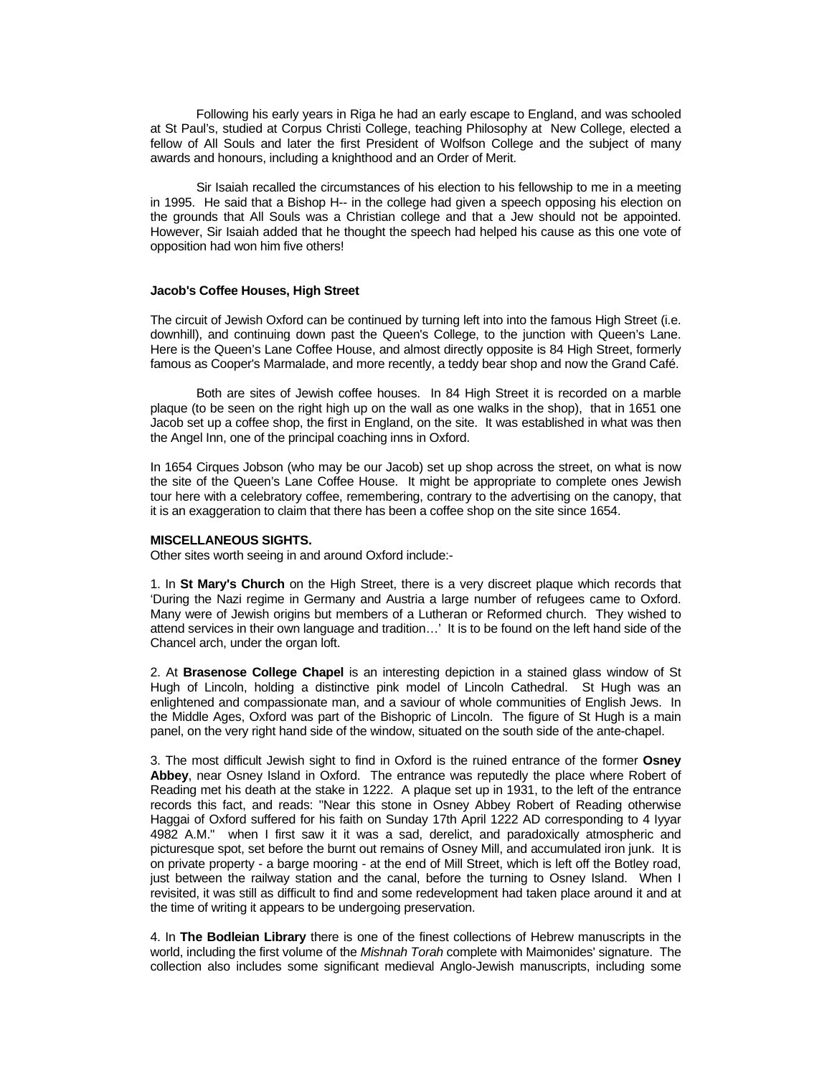Following his early years in Riga he had an early escape to England, and was schooled at St Paul's, studied at Corpus Christi College, teaching Philosophy at New College, elected a fellow of All Souls and later the first President of Wolfson College and the subject of many awards and honours, including a knighthood and an Order of Merit.

 Sir Isaiah recalled the circumstances of his election to his fellowship to me in a meeting in 1995. He said that a Bishop H-- in the college had given a speech opposing his election on the grounds that All Souls was a Christian college and that a Jew should not be appointed. However, Sir Isaiah added that he thought the speech had helped his cause as this one vote of opposition had won him five others!

#### **Jacob's Coffee Houses, High Street**

The circuit of Jewish Oxford can be continued by turning left into into the famous High Street (i.e. downhill), and continuing down past the Queen's College, to the junction with Queen's Lane. Here is the Queen's Lane Coffee House, and almost directly opposite is 84 High Street, formerly famous as Cooper's Marmalade, and more recently, a teddy bear shop and now the Grand Café.

 Both are sites of Jewish coffee houses. In 84 High Street it is recorded on a marble plaque (to be seen on the right high up on the wall as one walks in the shop), that in 1651 one Jacob set up a coffee shop, the first in England, on the site. It was established in what was then the Angel Inn, one of the principal coaching inns in Oxford.

In 1654 Cirques Jobson (who may be our Jacob) set up shop across the street, on what is now the site of the Queen's Lane Coffee House. It might be appropriate to complete ones Jewish tour here with a celebratory coffee, remembering, contrary to the advertising on the canopy, that it is an exaggeration to claim that there has been a coffee shop on the site since 1654.

#### **MISCELLANEOUS SIGHTS.**

Other sites worth seeing in and around Oxford include:-

1. In **St Mary's Church** on the High Street, there is a very discreet plaque which records that 'During the Nazi regime in Germany and Austria a large number of refugees came to Oxford. Many were of Jewish origins but members of a Lutheran or Reformed church. They wished to attend services in their own language and tradition…' It is to be found on the left hand side of the Chancel arch, under the organ loft.

2. At **Brasenose College Chapel** is an interesting depiction in a stained glass window of St Hugh of Lincoln, holding a distinctive pink model of Lincoln Cathedral. St Hugh was an enlightened and compassionate man, and a saviour of whole communities of English Jews. In the Middle Ages, Oxford was part of the Bishopric of Lincoln. The figure of St Hugh is a main panel, on the very right hand side of the window, situated on the south side of the ante-chapel.

3. The most difficult Jewish sight to find in Oxford is the ruined entrance of the former **Osney Abbey**, near Osney Island in Oxford. The entrance was reputedly the place where Robert of Reading met his death at the stake in 1222. A plaque set up in 1931, to the left of the entrance records this fact, and reads: "Near this stone in Osney Abbey Robert of Reading otherwise Haggai of Oxford suffered for his faith on Sunday 17th April 1222 AD corresponding to 4 Iyyar 4982 A.M." when I first saw it it was a sad, derelict, and paradoxically atmospheric and picturesque spot, set before the burnt out remains of Osney Mill, and accumulated iron junk. It is on private property - a barge mooring - at the end of Mill Street, which is left off the Botley road, just between the railway station and the canal, before the turning to Osney Island. When I revisited, it was still as difficult to find and some redevelopment had taken place around it and at the time of writing it appears to be undergoing preservation.

4. In **The Bodleian Library** there is one of the finest collections of Hebrew manuscripts in the world, including the first volume of the Mishnah Torah complete with Maimonides' signature. The collection also includes some significant medieval Anglo-Jewish manuscripts, including some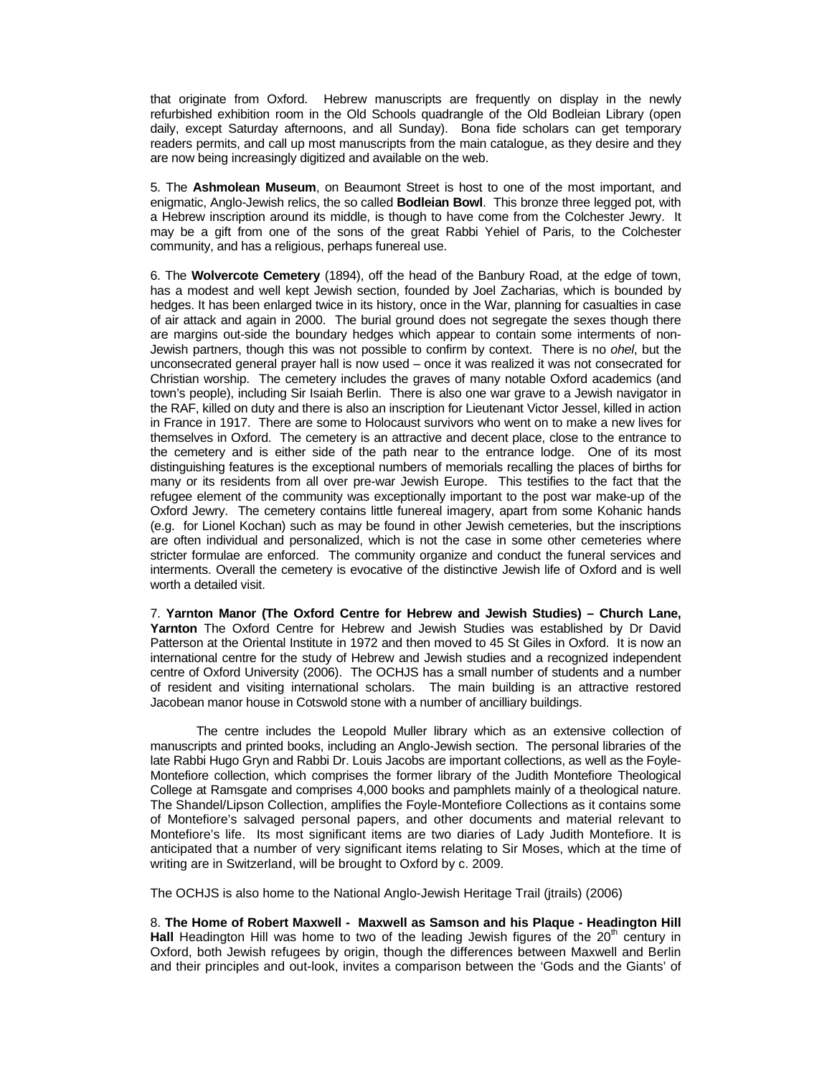that originate from Oxford. Hebrew manuscripts are frequently on display in the newly refurbished exhibition room in the Old Schools quadrangle of the Old Bodleian Library (open daily, except Saturday afternoons, and all Sunday). Bona fide scholars can get temporary readers permits, and call up most manuscripts from the main catalogue, as they desire and they are now being increasingly digitized and available on the web.

5. The **Ashmolean Museum**, on Beaumont Street is host to one of the most important, and enigmatic, Anglo-Jewish relics, the so called **Bodleian Bowl**. This bronze three legged pot, with a Hebrew inscription around its middle, is though to have come from the Colchester Jewry. It may be a gift from one of the sons of the great Rabbi Yehiel of Paris, to the Colchester community, and has a religious, perhaps funereal use.

6. The **Wolvercote Cemetery** (1894), off the head of the Banbury Road, at the edge of town, has a modest and well kept Jewish section, founded by Joel Zacharias, which is bounded by hedges. It has been enlarged twice in its history, once in the War, planning for casualties in case of air attack and again in 2000. The burial ground does not segregate the sexes though there are margins out-side the boundary hedges which appear to contain some interments of non-Jewish partners, though this was not possible to confirm by context. There is no ohel, but the unconsecrated general prayer hall is now used – once it was realized it was not consecrated for Christian worship. The cemetery includes the graves of many notable Oxford academics (and town's people), including Sir Isaiah Berlin. There is also one war grave to a Jewish navigator in the RAF, killed on duty and there is also an inscription for Lieutenant Victor Jessel, killed in action in France in 1917. There are some to Holocaust survivors who went on to make a new lives for themselves in Oxford. The cemetery is an attractive and decent place, close to the entrance to the cemetery and is either side of the path near to the entrance lodge. One of its most distinguishing features is the exceptional numbers of memorials recalling the places of births for many or its residents from all over pre-war Jewish Europe. This testifies to the fact that the refugee element of the community was exceptionally important to the post war make-up of the Oxford Jewry. The cemetery contains little funereal imagery, apart from some Kohanic hands (e.g. for Lionel Kochan) such as may be found in other Jewish cemeteries, but the inscriptions are often individual and personalized, which is not the case in some other cemeteries where stricter formulae are enforced. The community organize and conduct the funeral services and interments. Overall the cemetery is evocative of the distinctive Jewish life of Oxford and is well worth a detailed visit.

7. **Yarnton Manor (The Oxford Centre for Hebrew and Jewish Studies) – Church Lane, Yarnton** The Oxford Centre for Hebrew and Jewish Studies was established by Dr David Patterson at the Oriental Institute in 1972 and then moved to 45 St Giles in Oxford. It is now an international centre for the study of Hebrew and Jewish studies and a recognized independent centre of Oxford University (2006). The OCHJS has a small number of students and a number of resident and visiting international scholars. The main building is an attractive restored Jacobean manor house in Cotswold stone with a number of ancilliary buildings.

 The centre includes the Leopold Muller library which as an extensive collection of manuscripts and printed books, including an Anglo-Jewish section. The personal libraries of the late Rabbi Hugo Gryn and Rabbi Dr. Louis Jacobs are important collections, as well as the Foyle-Montefiore collection, which comprises the former library of the Judith Montefiore Theological College at Ramsgate and comprises 4,000 books and pamphlets mainly of a theological nature. The Shandel/Lipson Collection, amplifies the Foyle-Montefiore Collections as it contains some of Montefiore's salvaged personal papers, and other documents and material relevant to Montefiore's life. Its most significant items are two diaries of Lady Judith Montefiore. It is anticipated that a number of very significant items relating to Sir Moses, which at the time of writing are in Switzerland, will be brought to Oxford by c. 2009.

The OCHJS is also home to the National Anglo-Jewish Heritage Trail (jtrails) (2006)

8. **The Home of Robert Maxwell - Maxwell as Samson and his Plaque - Headington Hill Hall** Headington Hill was home to two of the leading Jewish figures of the  $20<sup>th</sup>$  century in Oxford, both Jewish refugees by origin, though the differences between Maxwell and Berlin and their principles and out-look, invites a comparison between the 'Gods and the Giants' of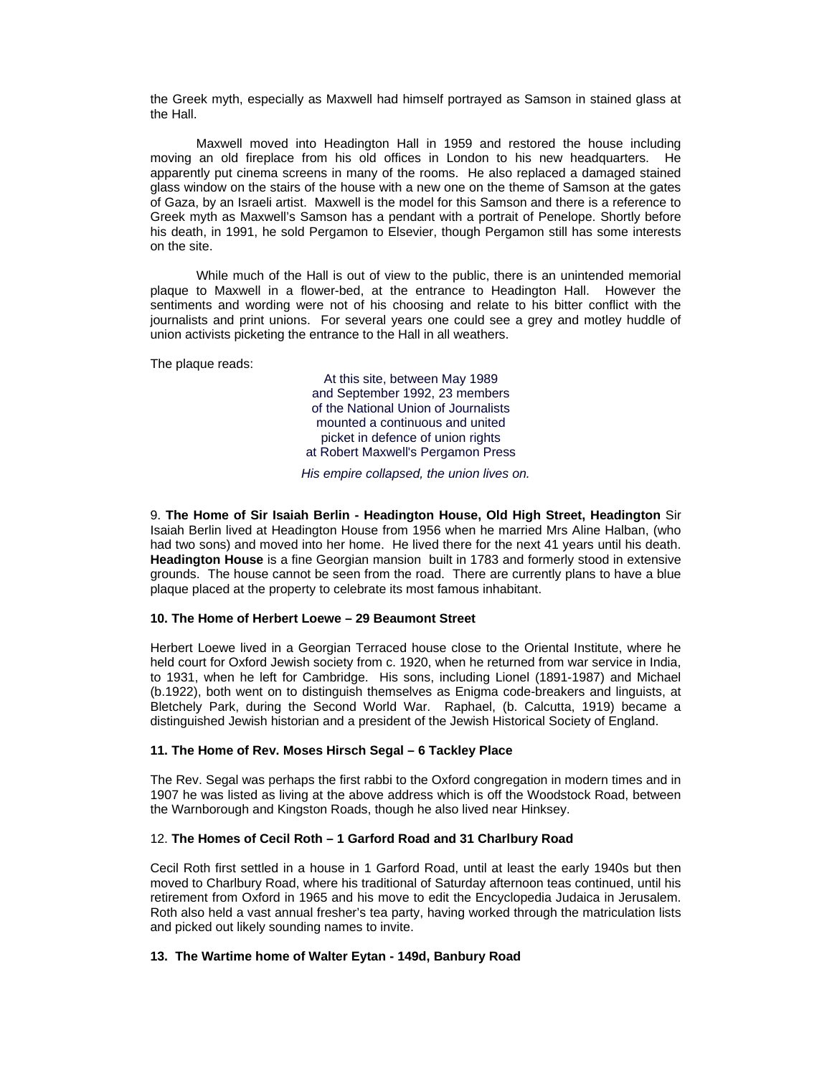the Greek myth, especially as Maxwell had himself portrayed as Samson in stained glass at the Hall.

Maxwell moved into Headington Hall in 1959 and restored the house including moving an old fireplace from his old offices in London to his new headquarters. He apparently put cinema screens in many of the rooms. He also replaced a damaged stained glass window on the stairs of the house with a new one on the theme of Samson at the gates of Gaza, by an Israeli artist. Maxwell is the model for this Samson and there is a reference to Greek myth as Maxwell's Samson has a pendant with a portrait of Penelope. Shortly before his death, in 1991, he sold Pergamon to Elsevier, though Pergamon still has some interests on the site.

While much of the Hall is out of view to the public, there is an unintended memorial plaque to Maxwell in a flower-bed, at the entrance to Headington Hall. However the sentiments and wording were not of his choosing and relate to his bitter conflict with the journalists and print unions. For several years one could see a grey and motley huddle of union activists picketing the entrance to the Hall in all weathers.

The plaque reads:

At this site, between May 1989 and September 1992, 23 members of the National Union of Journalists mounted a continuous and united picket in defence of union rights at Robert Maxwell's Pergamon Press

His empire collapsed, the union lives on.

9. **The Home of Sir Isaiah Berlin - Headington House, Old High Street, Headington** Sir Isaiah Berlin lived at Headington House from 1956 when he married Mrs Aline Halban, (who had two sons) and moved into her home. He lived there for the next 41 years until his death. **Headington House** is a fine Georgian mansionbuilt in 1783 and formerly stood in extensive grounds. The house cannot be seen from the road. There are currently plans to have a blue plaque placed at the property to celebrate its most famous inhabitant.

# **10. The Home of Herbert Loewe – 29 Beaumont Street**

Herbert Loewe lived in a Georgian Terraced house close to the Oriental Institute, where he held court for Oxford Jewish society from c. 1920, when he returned from war service in India, to 1931, when he left for Cambridge. His sons, including Lionel (1891-1987) and Michael (b.1922), both went on to distinguish themselves as Enigma code-breakers and linguists, at Bletchely Park, during the Second World War. Raphael, (b. Calcutta, 1919) became a distinguished Jewish historian and a president of the Jewish Historical Society of England.

# **11. The Home of Rev. Moses Hirsch Segal – 6 Tackley Place**

The Rev. Segal was perhaps the first rabbi to the Oxford congregation in modern times and in 1907 he was listed as living at the above address which is off the Woodstock Road, between the Warnborough and Kingston Roads, though he also lived near Hinksey.

# 12. **The Homes of Cecil Roth – 1 Garford Road and 31 Charlbury Road**

Cecil Roth first settled in a house in 1 Garford Road, until at least the early 1940s but then moved to Charlbury Road, where his traditional of Saturday afternoon teas continued, until his retirement from Oxford in 1965 and his move to edit the Encyclopedia Judaica in Jerusalem. Roth also held a vast annual fresher's tea party, having worked through the matriculation lists and picked out likely sounding names to invite.

# **13. The Wartime home of Walter Eytan - 149d, Banbury Road**